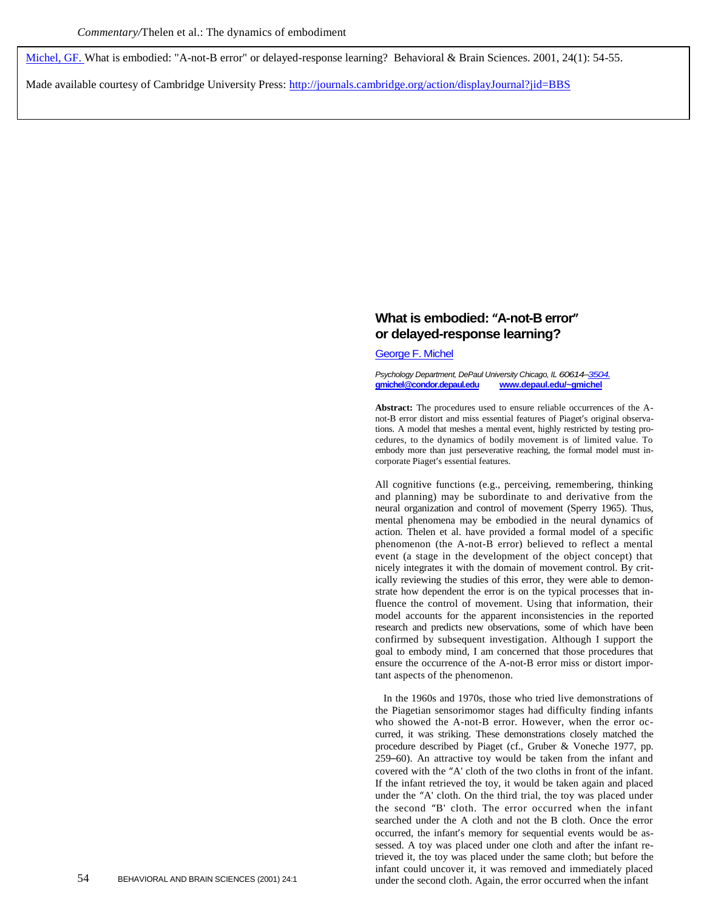[Michel, GF. W](http://libres.uncg.edu/ir/uncg/clist.aspx?id=446)hat is embodied: "A-not-B error" or delayed-response learning? Behavioral & Brain Sciences. 2001, 24(1): 54-55.

Made available courtesy of Cambridge University Press[: http://journals.cambridge.org/action/displayJournal?jid=BBS](http://journals.cambridge.org/action/displayJournal?jid=BBS)

## **What is embodied: "A-not-B error" or delayed-response learning?**

[George F. Michel](http://libres.uncg.edu/ir/uncg/clist.aspx?id=446)

*Psychology Department, DePaul University Chicago, IL 60614–[3504.](mailto:3504.gmichel@condor.depaul.edu)* **gmichel@condor.depaul.edu [www.depaul.edu/~gmichel](http://www.depaul.edu/~gmichel)**

**Abstract:** The procedures used to ensure reliable occurrences of the Anot-B error distort and miss essential features of Piaget's original observations. A model that meshes a mental event, highly restricted by testing procedures, to the dynamics of bodily movement is of limited value. To embody more than just perseverative reaching, the formal model must incorporate Piaget's essential features.

All cognitive functions (e.g., perceiving, remembering, thinking and planning) may be subordinate to and derivative from the neural organization and control of movement (Sperry 1965). Thus, mental phenomena may be embodied in the neural dynamics of action. Thelen et al. have provided a formal model of a specific phenomenon (the A-not-B error) believed to reflect a mental event (a stage in the development of the object concept) that nicely integrates it with the domain of movement control. By critically reviewing the studies of this error, they were able to demonstrate how dependent the error is on the typical processes that influence the control of movement. Using that information, their model accounts for the apparent inconsistencies in the reported research and predicts new observations, some of which have been confirmed by subsequent investigation. Although I support the goal to embody mind, I am concerned that those procedures that ensure the occurrence of the A-not-B error miss or distort important aspects of the phenomenon.

In the 1960s and 1970s, those who tried live demonstrations of the Piagetian sensorimomor stages had difficulty finding infants who showed the A-not-B error. However, when the error occurred, it was striking. These demonstrations closely matched the procedure described by Piaget (cf., Gruber & Voneche 1977, pp. 259–60). An attractive toy would be taken from the infant and covered with the "A' cloth of the two cloths in front of the infant. If the infant retrieved the toy, it would be taken again and placed under the "A' cloth. On the third trial, the toy was placed under the second "B' cloth. The error occurred when the infant searched under the A cloth and not the B cloth. Once the error occurred, the infant's memory for sequential events would be assessed. A toy was placed under one cloth and after the infant retrieved it, the toy was placed under the same cloth; but before the infant could uncover it, it was removed and immediately placed 54 BEHAVIORAL AND BRAIN SCIENCES (2001) 24:1 under the second cloth. Again, the error occurred when the infant